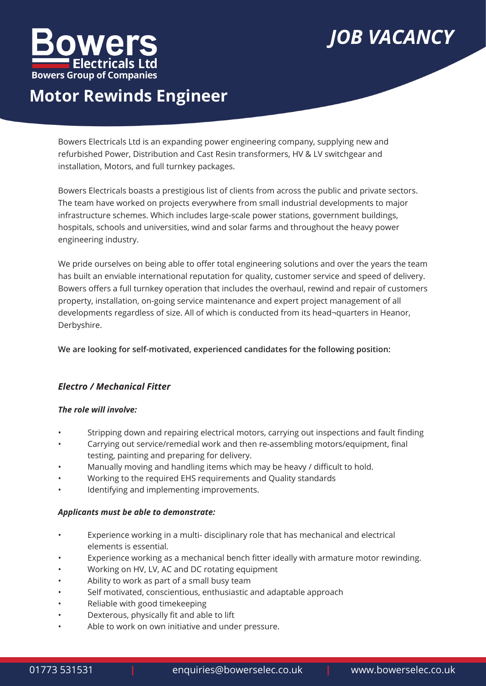

# *JOB VACANCY*

## **Motor Rewinds Engineer**

Bowers Electricals Ltd is an expanding power engineering company, supplying new and refurbished Power, Distribution and Cast Resin transformers, HV & LV switchgear and installation, Motors, and full turnkey packages.

Bowers Electricals boasts a prestigious list of clients from across the public and private sectors. The team have worked on projects everywhere from small industrial developments to major infrastructure schemes. Which includes large-scale power stations, government buildings, hospitals, schools and universities, wind and solar farms and throughout the heavy power engineering industry.

We pride ourselves on being able to offer total engineering solutions and over the years the team has built an enviable international reputation for quality, customer service and speed of delivery. Bowers offers a full turnkey operation that includes the overhaul, rewind and repair of customers property, installation, on-going service maintenance and expert project management of all developments regardless of size. All of which is conducted from its head¬quarters in Heanor, Derbyshire.

**We are looking for self-motivated, experienced candidates for the following position:**

### *Electro / Mechanical Fitter*

### *The role will involve:*

- Stripping down and repairing electrical motors, carrying out inspections and fault finding
- Carrying out service/remedial work and then re-assembling motors/equipment, final testing, painting and preparing for delivery.
- Manually moving and handling items which may be heavy / difficult to hold.
- Working to the required EHS requirements and Quality standards
- Identifying and implementing improvements.

### *Applicants must be able to demonstrate:*

- Experience working in a multi- disciplinary role that has mechanical and electrical elements is essential.
- Experience working as a mechanical bench fitter ideally with armature motor rewinding.
- Working on HV, LV, AC and DC rotating equipment
- Ability to work as part of a small busy team
- Self motivated, conscientious, enthusiastic and adaptable approach
- Reliable with good timekeeping
- Dexterous, physically fit and able to lift
- Able to work on own initiative and under pressure.